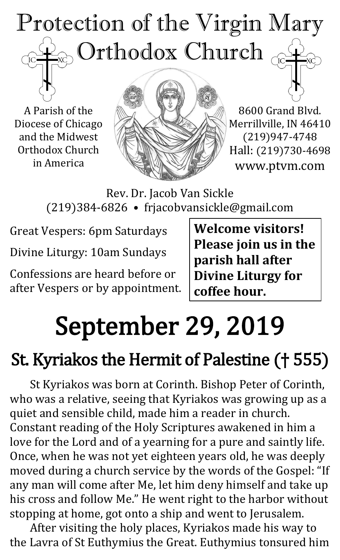## Protection of the Virgin Mary  $\odot$  Orthodox Church  $_{\odot}$  $\overline{C}$

A Parish of the Diocese of Chicago and the Midwest Orthodox Church in America



8600 Grand Blvd. Merrillville, IN 46410 (219)947-4748 Hall: (219)730-4698 www.ptvm.com

Rev. Dr. Jacob Van Sickle (219)384-6826 • frjacobvansickle@gmail.com

Great Vespers: 6pm Saturdays Divine Liturgy: 10am Sundays

Confessions are heard before or after Vespers or by appointment. **Welcome visitors! Please join us in the parish hall after Divine Liturgy for coffee hour.**

# September 29, 2019

## St. Kyriakos the Hermit of Palestine († 555)

St Kyriakos was born at Corinth. Bishop Peter of Corinth, who was a relative, seeing that Kyriakos was growing up as a quiet and sensible child, made him a reader in church. Constant reading of the Holy Scriptures awakened in him a love for the Lord and of a yearning for a pure and saintly life. Once, when he was not yet eighteen years old, he was deeply moved during a church service by the words of the Gospel: "If any man will come after Me, let him deny himself and take up his cross and follow Me." He went right to the harbor without stopping at home, got onto a ship and went to Jerusalem.

After visiting the holy places, Kyriakos made his way to the Lavra of St Euthymius the Great. Euthymius tonsured him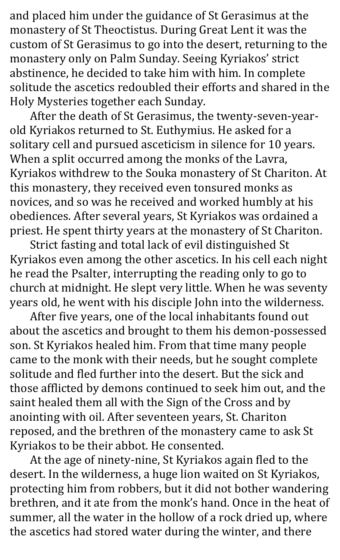and placed him under the guidance of St Gerasimus at the monastery of St Theoctistus. During Great Lent it was the custom of St Gerasimus to go into the desert, returning to the monastery only on Palm Sunday. Seeing Kyriakos' strict abstinence, he decided to take him with him. In complete solitude the ascetics redoubled their efforts and shared in the Holy Mysteries together each Sunday.

After the death of St Gerasimus, the twenty-seven-yearold Kyriakos returned to St. Euthymius. He asked for a solitary cell and pursued asceticism in silence for 10 years. When a split occurred among the monks of the Lavra, Kyriakos withdrew to the Souka monastery of St Chariton. At this monastery, they received even tonsured monks as novices, and so was he received and worked humbly at his obediences. After several years, St Kyriakos was ordained a priest. He spent thirty years at the monastery of St Chariton.

Strict fasting and total lack of evil distinguished St Kyriakos even among the other ascetics. In his cell each night he read the Psalter, interrupting the reading only to go to church at midnight. He slept very little. When he was seventy years old, he went with his disciple John into the wilderness.

After five years, one of the local inhabitants found out about the ascetics and brought to them his demon-possessed son. St Kyriakos healed him. From that time many people came to the monk with their needs, but he sought complete solitude and fled further into the desert. But the sick and those afflicted by demons continued to seek him out, and the saint healed them all with the Sign of the Cross and by anointing with oil. After seventeen years, St. Chariton reposed, and the brethren of the monastery came to ask St Kyriakos to be their abbot. He consented.

At the age of ninety-nine, St Kyriakos again fled to the desert. In the wilderness, a huge lion waited on St Kyriakos, protecting him from robbers, but it did not bother wandering brethren, and it ate from the monk's hand. Once in the heat of summer, all the water in the hollow of a rock dried up, where the ascetics had stored water during the winter, and there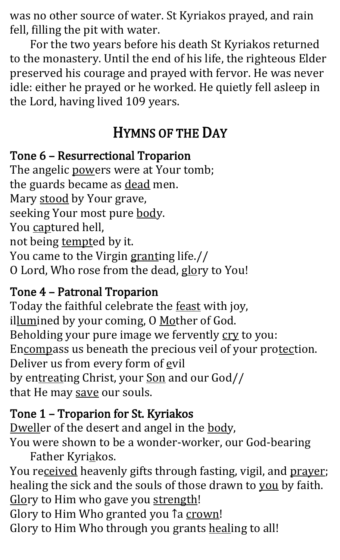was no other source of water. St Kyriakos prayed, and rain fell, filling the pit with water.

For the two years before his death St Kyriakos returned to the monastery. Until the end of his life, the righteous Elder preserved his courage and prayed with fervor. He was never idle: either he prayed or he worked. He quietly fell asleep in the Lord, having lived 109 years.

## HYMNS OF THE DAY

#### Tone 6 – Resurrectional Troparion

The angelic powers were at Your tomb; the guards became as dead men. Mary stood by Your grave, seeking Your most pure body. You captured hell, not being tempted by it. You came to the Virgin granting life.// O Lord, Who rose from the dead, glory to You!

## Tone 4 – Patronal Troparion

Today the faithful celebrate the feast with joy, illumined by your coming, O Mother of God. Beholding your pure image we fervently cry to you: Encompass us beneath the precious veil of your protection. Deliver us from every form of evil by entreating Christ, your Son and our God// that He may save our souls.

## Tone 1 – Troparion for St. Kyriakos

Dweller of the desert and angel in the body, You were shown to be a wonder-worker, our God-bearing Father Kyriakos.

You received heavenly gifts through fasting, vigil, and prayer; healing the sick and the souls of those drawn to you by faith. Glory to Him who gave you strength! Glory to Him Who granted you 1a crown!

Glory to Him Who through you grants healing to all!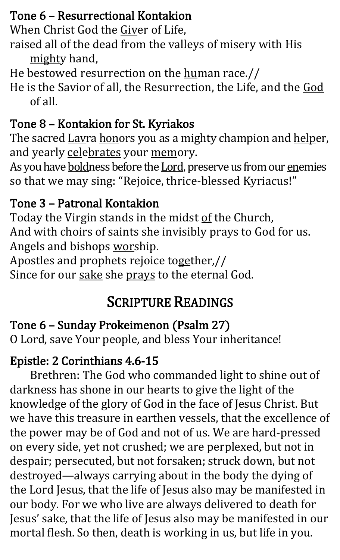## Tone 6 – Resurrectional Kontakion

When Christ God the Giver of Life,

- raised all of the dead from the valleys of misery with His mighty hand,
- He bestowed resurrection on the human race.//
- He is the Savior of all, the Resurrection, the Life, and the God of all.

## Tone 8 – Kontakion for St. Kyriakos

The sacred Lavra honors you as a mighty champion and helper, and yearly celebrates your memory.

As you have **boldness before the Lord**, preserve us from our enemies so that we may sing: "Rejoice, thrice-blessed Kyriacus!"

## Tone 3 – Patronal Kontakion

Today the Virgin stands in the midst of the Church, And with choirs of saints she invisibly prays to God for us. Angels and bishops worship.

Apostles and prophets rejoice together,// Since for our sake she prays to the eternal God.

## SCRIPTURE READINGS

## Tone 6 – Sunday Prokeimenon (Psalm 27)

O Lord, save Your people, and bless Your inheritance!

## Epistle: 2 Corinthians 4.6-15

Brethren: The God who commanded light to shine out of darkness has shone in our hearts to give the light of the knowledge of the glory of God in the face of Jesus Christ. But we have this treasure in earthen vessels, that the excellence of the power may be of God and not of us. We are hard-pressed on every side, yet not crushed; we are perplexed, but not in despair; persecuted, but not forsaken; struck down, but not destroyed—always carrying about in the body the dying of the Lord Jesus, that the life of Jesus also may be manifested in our body. For we who live are always delivered to death for Jesus' sake, that the life of Jesus also may be manifested in our mortal flesh. So then, death is working in us, but life in you.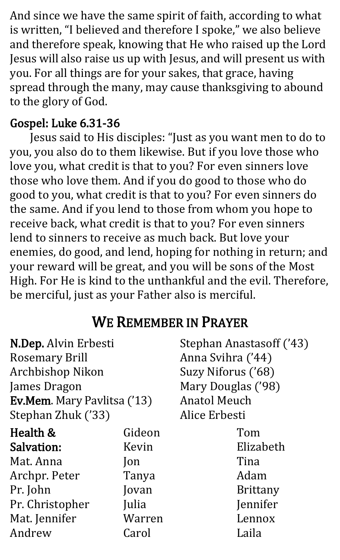And since we have the same spirit of faith, according to what is written, "I believed and therefore I spoke," we also believe and therefore speak, knowing that He who raised up the Lord Jesus will also raise us up with Jesus, and will present us with you. For all things are for your sakes, that grace, having spread through the many, may cause thanksgiving to abound to the glory of God.

#### Gospel: Luke 6.31-36

Jesus said to His disciples: "Just as you want men to do to you, you also do to them likewise. But if you love those who love you, what credit is that to you? For even sinners love those who love them. And if you do good to those who do good to you, what credit is that to you? For even sinners do the same. And if you lend to those from whom you hope to receive back, what credit is that to you? For even sinners lend to sinners to receive as much back. But love your enemies, do good, and lend, hoping for nothing in return; and your reward will be great, and you will be sons of the Most High. For He is kind to the unthankful and the evil. Therefore, be merciful, just as your Father also is merciful.

## WE REMEMBER IN PRAYER

| N.Dep. Alvin Erbesti        |             | Stephan Anastasoff ('43) |  |
|-----------------------------|-------------|--------------------------|--|
| <b>Rosemary Brill</b>       |             | Anna Svihra ('44)        |  |
| Archbishop Nikon            |             | Suzy Niforus ('68)       |  |
| James Dragon                |             | Mary Douglas ('98)       |  |
| Ev.Mem. Mary Pavlitsa ('13) |             | <b>Anatol Meuch</b>      |  |
| Stephan Zhuk ('33)          |             | Alice Erbesti            |  |
| Health &                    | Gideon      | Tom                      |  |
| <b>Salvation:</b>           | Kevin       | Elizabeth                |  |
| Mat. Anna                   | $\lceil$ on | Tina                     |  |
| Archpr. Peter               | Tanya       | Adam                     |  |
| Pr. John                    | Jovan       | <b>Brittany</b>          |  |
| Pr. Christopher             | Julia       | Jennifer                 |  |
| Mat. Jennifer               | Warren      | Lennox                   |  |
| Andrew                      | Carol       | Laila                    |  |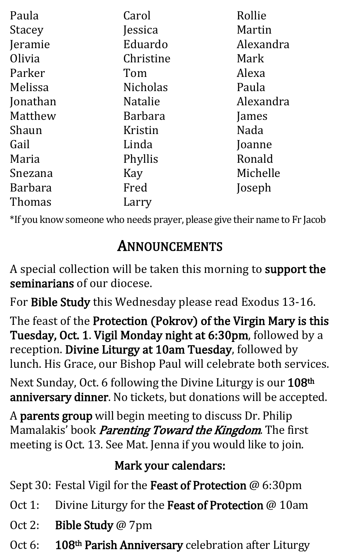| Paula          | Carol           | Rollie    |
|----------------|-----------------|-----------|
| <b>Stacey</b>  | Jessica         | Martin    |
| Jeramie        | Eduardo         | Alexandra |
| Olivia         | Christine       | Mark      |
| Parker         | Tom             | Alexa     |
| Melissa        | <b>Nicholas</b> | Paula     |
| Jonathan       | <b>Natalie</b>  | Alexandra |
| Matthew        | <b>Barbara</b>  | James     |
| Shaun          | Kristin         | Nada      |
| Gail           | Linda           | Joanne    |
| Maria          | Phyllis         | Ronald    |
| Snezana        | Kay             | Michelle  |
| <b>Barbara</b> | Fred            | Joseph    |
| Thomas         | Larry           |           |

\*If you know someone who needs prayer, please give their name to Fr Jacob

## ANNOUNCEMENTS

A special collection will be taken this morning to support the seminarians of our diocese.

For Bible Study this Wednesday please read Exodus 13-16.

The feast of the Protection (Pokrov) of the Virgin Mary is this Tuesday, Oct. 1. Vigil Monday night at 6:30pm, followed by a reception. Divine Liturgy at 10am Tuesday, followed by lunch. His Grace, our Bishop Paul will celebrate both services.

Next Sunday, Oct. 6 following the Divine Liturgy is our 108<sup>th</sup> anniversary dinner. No tickets, but donations will be accepted.

A parents group will begin meeting to discuss Dr. Philip Mamalakis' book *Parenting Toward the Kingdom*. The first meeting is Oct. 13. See Mat. Jenna if you would like to join.

## Mark your calendars:

Sept 30: Festal Vigil for the Feast of Protection @ 6:30pm

- Oct 1: Divine Liturgy for the Feast of Protection @ 10am
- Oct 2: Bible Study @ 7pm
- Oct 6: 108<sup>th</sup> Parish Anniversary celebration after Liturgy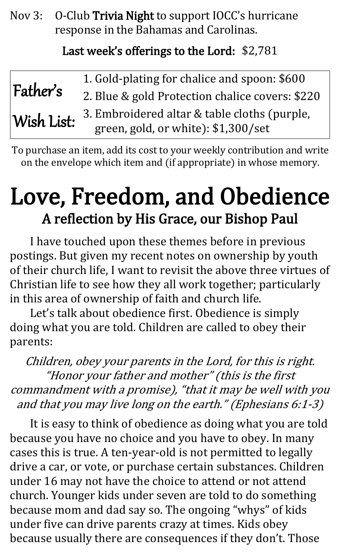Nov 3: O-Club Trivia Night to support IOCC's hurricane response in the Bahamas and Carolinas.

#### Last week's offerings to the Lord: \$2,781

| Father's   | 1. Gold-plating for chalice and spoon: \$600    |
|------------|-------------------------------------------------|
|            | 2. Blue & gold Protection chalice covers: \$220 |
| Wish List: | 3. Embroidered altar & table cloths (purple,    |
|            | green, gold, or white): \$1,300/set             |

To purchase an item, add its cost to your weekly contribution and write on the envelope which item and (if appropriate) in whose memory.

# Love, Freedom, and Obedience A reflection by His Grace, our Bishop Paul

I have touched upon these themes before in previous postings. But given my recent notes on ownership by youth of their church life, I want to revisit the above three virtues of Christian life to see how they all work together; particularly in this area of ownership of faith and church life.

Let's talk about obedience first. Obedience is simply doing what you are told. Children are called to obey their parents:

Children, obey your parents in the Lord, for this is right. "Honor your father and mother" (this is the first commandment with a promise), "that it may be well with you and that you may live long on the earth." (Ephesians 6:1-3)

It is easy to think of obedience as doing what you are told because you have no choice and you have to obey. In many cases this is true. A ten-year-old is not permitted to legally drive a car, or vote, or purchase certain substances. Children under 16 may not have the choice to attend or not attend church. Younger kids under seven are told to do something because mom and dad say so. The ongoing "whys" of kids under five can drive parents crazy at times. Kids obey because usually there are consequences if they don't. Those